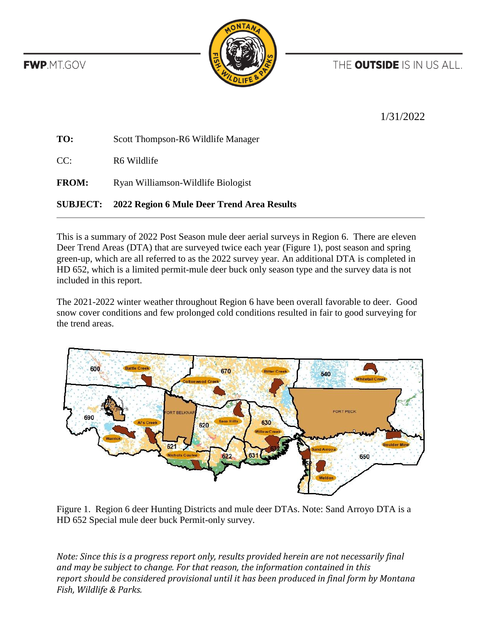THE **OUTSIDE** IS IN US ALL.

**FWP.MT.GOV** 



1/31/2022

| TO:          | Scott Thompson-R6 Wildlife Manager |
|--------------|------------------------------------|
| CC:          | R6 Wildlife                        |
| <b>FROM:</b> | Ryan Williamson-Wildlife Biologist |
|              |                                    |

## **SUBJECT: 2022 Region 6 Mule Deer Trend Area Results**

This is a summary of 2022 Post Season mule deer aerial surveys in Region 6. There are eleven Deer Trend Areas (DTA) that are surveyed twice each year (Figure 1), post season and spring green-up, which are all referred to as the 2022 survey year. An additional DTA is completed in HD 652, which is a limited permit-mule deer buck only season type and the survey data is not included in this report.

The 2021-2022 winter weather throughout Region 6 have been overall favorable to deer. Good snow cover conditions and few prolonged cold conditions resulted in fair to good surveying for the trend areas.



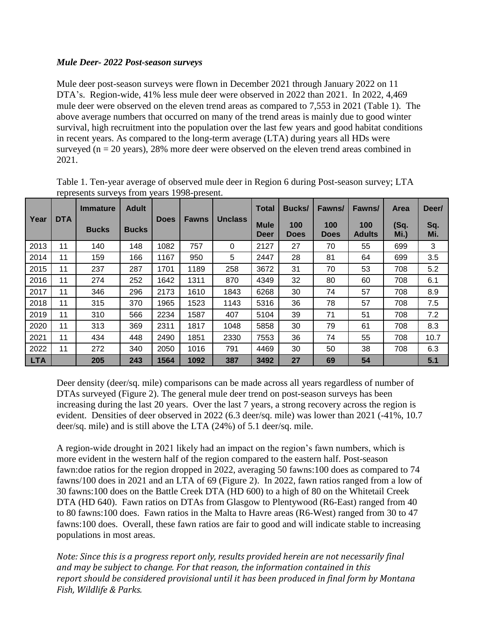## *Mule Deer- 2022 Post-season surveys*

Mule deer post-season surveys were flown in December 2021 through January 2022 on 11 DTA's. Region-wide, 41% less mule deer were observed in 2022 than 2021. In 2022, 4,469 mule deer were observed on the eleven trend areas as compared to 7,553 in 2021 (Table 1). The above average numbers that occurred on many of the trend areas is mainly due to good winter survival, high recruitment into the population over the last few years and good habitat conditions in recent years. As compared to the long-term average (LTA) during years all HDs were surveyed ( $n = 20$  years), 28% more deer were observed on the eleven trend areas combined in 2021.

|             | <b>DTA</b> | <b>Immature</b> | <b>Adult</b> | <b>Does</b> | <b>Fawns</b> | <b>Unclass</b> | <b>Total</b>               | <b>Bucks/</b>      | Fawns/             | Fawns/               | <b>Area</b>  | Deer/      |
|-------------|------------|-----------------|--------------|-------------|--------------|----------------|----------------------------|--------------------|--------------------|----------------------|--------------|------------|
| <b>Year</b> |            | <b>Bucks</b>    | <b>Bucks</b> |             |              |                | <b>Mule</b><br><b>Deer</b> | 100<br><b>Does</b> | 100<br><b>Does</b> | 100<br><b>Adults</b> | (Sq.<br>Mi.) | Sq.<br>Mi. |
| 2013        | 11         | 140             | 148          | 1082        | 757          | 0              | 2127                       | 27                 | 70                 | 55                   | 699          | 3          |
| 2014        | 11         | 159             | 166          | 1167        | 950          | 5              | 2447                       | 28                 | 81                 | 64                   | 699          | 3.5        |
| 2015        | 11         | 237             | 287          | 1701        | 1189         | 258            | 3672                       | 31                 | 70                 | 53                   | 708          | 5.2        |
| 2016        | 11         | 274             | 252          | 1642        | 1311         | 870            | 4349                       | 32                 | 80                 | 60                   | 708          | 6.1        |
| 2017        | 11         | 346             | 296          | 2173        | 1610         | 1843           | 6268                       | 30                 | 74                 | 57                   | 708          | 8.9        |
| 2018        | 11         | 315             | 370          | 1965        | 1523         | 1143           | 5316                       | 36                 | 78                 | 57                   | 708          | 7.5        |
| 2019        | 11         | 310             | 566          | 2234        | 1587         | 407            | 5104                       | 39                 | 71                 | 51                   | 708          | 7.2        |
| 2020        | 11         | 313             | 369          | 2311        | 1817         | 1048           | 5858                       | 30                 | 79                 | 61                   | 708          | 8.3        |
| 2021        | 11         | 434             | 448          | 2490        | 1851         | 2330           | 7553                       | 36                 | 74                 | 55                   | 708          | 10.7       |
| 2022        | 11         | 272             | 340          | 2050        | 1016         | 791            | 4469                       | 30                 | 50                 | 38                   | 708          | 6.3        |
| LTA         |            | 205             | 243          | 1564        | 1092         | 387            | 3492                       | 27                 | 69                 | 54                   |              | 5.1        |

Table 1. Ten-year average of observed mule deer in Region 6 during Post-season survey; LTA represents surveys from years 1998-present.

Deer density (deer/sq. mile) comparisons can be made across all years regardless of number of DTAs surveyed (Figure 2). The general mule deer trend on post-season surveys has been increasing during the last 20 years. Over the last 7 years, a strong recovery across the region is evident. Densities of deer observed in 2022 (6.3 deer/sq. mile) was lower than 2021 (-41%, 10.7 deer/sq. mile) and is still above the LTA (24%) of 5.1 deer/sq. mile.

A region-wide drought in 2021 likely had an impact on the region's fawn numbers, which is more evident in the western half of the region compared to the eastern half. Post-season fawn:doe ratios for the region dropped in 2022, averaging 50 fawns:100 does as compared to 74 fawns/100 does in 2021 and an LTA of 69 (Figure 2). In 2022, fawn ratios ranged from a low of 30 fawns:100 does on the Battle Creek DTA (HD 600) to a high of 80 on the Whitetail Creek DTA (HD 640). Fawn ratios on DTAs from Glasgow to Plentywood (R6-East) ranged from 40 to 80 fawns:100 does. Fawn ratios in the Malta to Havre areas (R6-West) ranged from 30 to 47 fawns:100 does. Overall, these fawn ratios are fair to good and will indicate stable to increasing populations in most areas.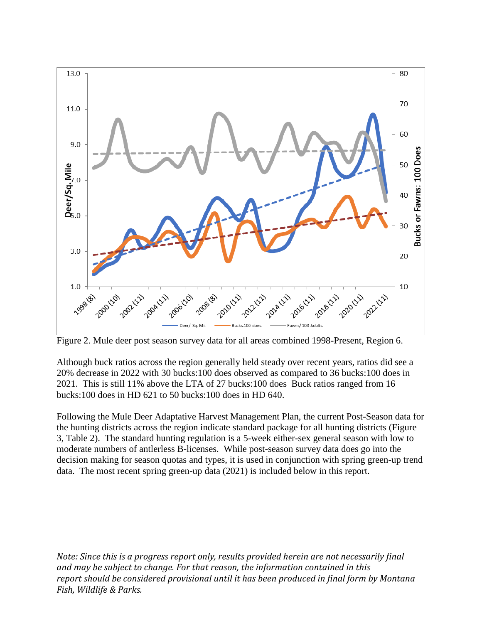

Figure 2. Mule deer post season survey data for all areas combined 1998-Present, Region 6.

Although buck ratios across the region generally held steady over recent years, ratios did see a 20% decrease in 2022 with 30 bucks:100 does observed as compared to 36 bucks:100 does in 2021. This is still 11% above the LTA of 27 bucks:100 does Buck ratios ranged from 16 bucks:100 does in HD 621 to 50 bucks:100 does in HD 640.

Following the Mule Deer Adaptative Harvest Management Plan, the current Post-Season data for the hunting districts across the region indicate standard package for all hunting districts (Figure 3, Table 2). The standard hunting regulation is a 5-week either-sex general season with low to moderate numbers of antlerless B-licenses. While post-season survey data does go into the decision making for season quotas and types, it is used in conjunction with spring green-up trend data. The most recent spring green-up data (2021) is included below in this report.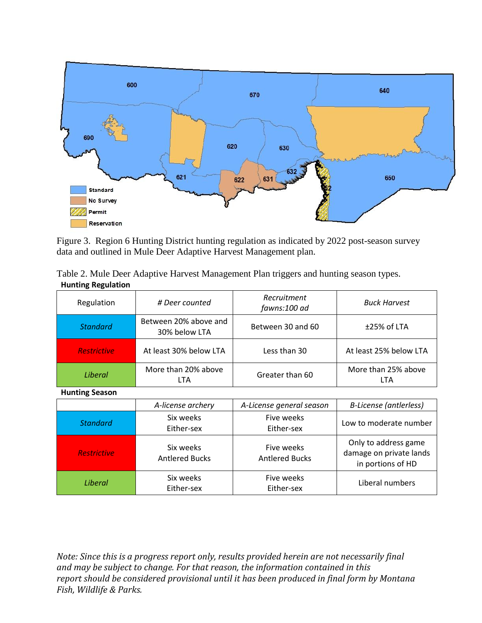

Figure 3. Region 6 Hunting District hunting regulation as indicated by 2022 post-season survey data and outlined in Mule Deer Adaptive Harvest Management plan.

| Table 2. Mule Deer Adaptive Harvest Management Plan triggers and hunting season types. |  |
|----------------------------------------------------------------------------------------|--|
| <b>Hunting Regulation</b>                                                              |  |

| Regulation         | # Deer counted                         | Recruitment<br>fawns:100 ad | <b>Buck Harvest</b>        |  |
|--------------------|----------------------------------------|-----------------------------|----------------------------|--|
| <b>Standard</b>    | Between 20% above and<br>30% below LTA | Between 30 and 60           | $±25%$ of LTA              |  |
| <b>Restrictive</b> | At least 30% below LTA                 | Less than 30                | At least 25% below LTA     |  |
| Liberal            | More than 20% above<br>LTA             | Greater than 60             | More than 25% above<br>LTA |  |

**Hunting Season**

|                    | A-license archery                  | A-License general season            | <b>B-License (antlerless)</b>                                        |
|--------------------|------------------------------------|-------------------------------------|----------------------------------------------------------------------|
| <b>Standard</b>    | Six weeks<br>Either-sex            | Five weeks<br>Either-sex            | Low to moderate number                                               |
| <b>Restrictive</b> | Six weeks<br><b>Antlered Bucks</b> | Five weeks<br><b>Antlered Bucks</b> | Only to address game<br>damage on private lands<br>in portions of HD |
| Liberal            | Six weeks<br>Either-sex            | Five weeks<br>Either-sex            | Liberal numbers                                                      |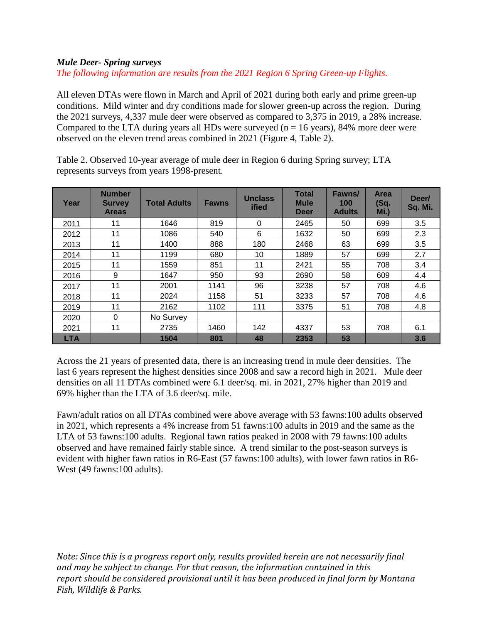## *Mule Deer- Spring surveys*

*The following information are results from the 2021 Region 6 Spring Green-up Flights.*

All eleven DTAs were flown in March and April of 2021 during both early and prime green-up conditions. Mild winter and dry conditions made for slower green-up across the region. During the 2021 surveys, 4,337 mule deer were observed as compared to 3,375 in 2019, a 28% increase. Compared to the LTA during years all HDs were surveyed ( $n = 16$  years), 84% more deer were observed on the eleven trend areas combined in 2021 (Figure 4, Table 2).

| Year       | <b>Number</b><br><b>Survey</b><br><b>Areas</b> | <b>Total Adults</b> | <b>Fawns</b> | <b>Unclass</b><br>ified | <b>Total</b><br><b>Mule</b><br><b>Deer</b> | Fawns/<br>100<br><b>Adults</b> | <b>Area</b><br>(Sq.<br>Mi.) | Deer/<br>Sq. Mi. |
|------------|------------------------------------------------|---------------------|--------------|-------------------------|--------------------------------------------|--------------------------------|-----------------------------|------------------|
| 2011       | 11                                             | 1646                | 819          | $\Omega$                | 2465                                       | 50                             | 699                         | 3.5              |
| 2012       | 11                                             | 1086                | 540          | 6                       | 1632                                       | 50                             | 699                         | 2.3              |
| 2013       | 11                                             | 1400                | 888          | 180                     | 2468                                       | 63                             | 699                         | 3.5              |
| 2014       | 11                                             | 1199                | 680          | 10                      | 1889                                       | 57                             | 699                         | 2.7              |
| 2015       | 11                                             | 1559                | 851          | 11                      | 2421                                       | 55                             | 708                         | 3.4              |
| 2016       | 9                                              | 1647                | 950          | 93                      | 2690                                       | 58                             | 609                         | 4.4              |
| 2017       | 11                                             | 2001                | 1141         | 96                      | 3238                                       | 57                             | 708                         | 4.6              |
| 2018       | 11                                             | 2024                | 1158         | 51                      | 3233                                       | 57                             | 708                         | 4.6              |
| 2019       | 11                                             | 2162                | 1102         | 111                     | 3375                                       | 51                             | 708                         | 4.8              |
| 2020       | $\Omega$                                       | No Survey           |              |                         |                                            |                                |                             |                  |
| 2021       | 11                                             | 2735                | 1460         | 142                     | 4337                                       | 53                             | 708                         | 6.1              |
| <b>LTA</b> |                                                | 1504                | 801          | 48                      | 2353                                       | 53                             |                             | 3.6              |

Table 2. Observed 10-year average of mule deer in Region 6 during Spring survey; LTA represents surveys from years 1998-present.

Across the 21 years of presented data, there is an increasing trend in mule deer densities. The last 6 years represent the highest densities since 2008 and saw a record high in 2021. Mule deer densities on all 11 DTAs combined were 6.1 deer/sq. mi. in 2021, 27% higher than 2019 and 69% higher than the LTA of 3.6 deer/sq. mile.

Fawn/adult ratios on all DTAs combined were above average with 53 fawns:100 adults observed in 2021, which represents a 4% increase from 51 fawns:100 adults in 2019 and the same as the LTA of 53 fawns:100 adults. Regional fawn ratios peaked in 2008 with 79 fawns:100 adults observed and have remained fairly stable since. A trend similar to the post-season surveys is evident with higher fawn ratios in R6-East (57 fawns:100 adults), with lower fawn ratios in R6- West (49 fawns:100 adults).